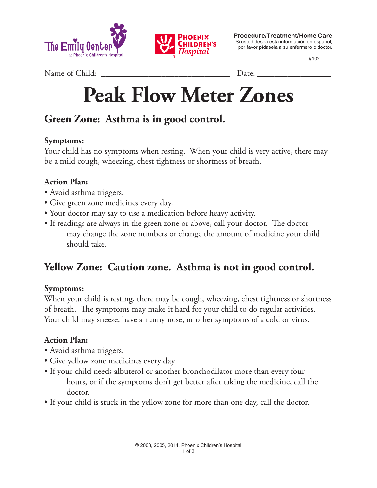



**Procedure/Treatment/Home Care** Si usted desea esta información en español, por favor pídasela a su enfermero o doctor.

#102

Name of Child: \_\_\_\_\_\_\_\_\_\_\_\_\_\_\_\_\_\_\_\_\_\_\_\_\_\_\_\_\_\_ Date: \_\_\_\_\_\_\_\_\_\_\_\_\_\_\_\_\_

# **Peak Flow Meter Zones**

# **Green Zone: Asthma is in good control.**

#### **Symptoms:**

Your child has no symptoms when resting. When your child is very active, there may be a mild cough, wheezing, chest tightness or shortness of breath.

#### **Action Plan:**

- Avoid asthma triggers.
- Give green zone medicines every day.
- Your doctor may say to use a medication before heavy activity.
- If readings are always in the green zone or above, call your doctor. The doctor may change the zone numbers or change the amount of medicine your child should take.

## **Yellow Zone: Caution zone. Asthma is not in good control.**

#### **Symptoms:**

When your child is resting, there may be cough, wheezing, chest tightness or shortness of breath. The symptoms may make it hard for your child to do regular activities. Your child may sneeze, have a runny nose, or other symptoms of a cold or virus.

#### **Action Plan:**

- Avoid asthma triggers.
- Give yellow zone medicines every day.
- If your child needs albuterol or another bronchodilator more than every four hours, or if the symptoms don't get better after taking the medicine, call the doctor.
- If your child is stuck in the yellow zone for more than one day, call the doctor.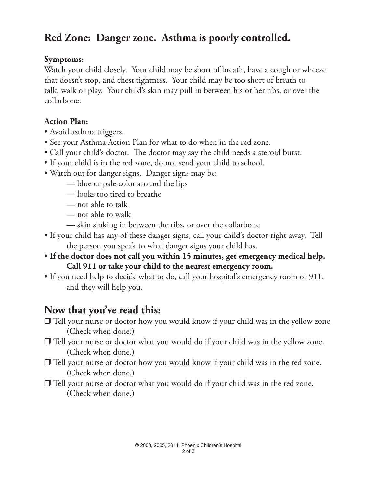# **Red Zone: Danger zone. Asthma is poorly controlled.**

#### **Symptoms:**

Watch your child closely. Your child may be short of breath, have a cough or wheeze that doesn't stop, and chest tightness. Your child may be too short of breath to talk, walk or play. Your child's skin may pull in between his or her ribs, or over the collarbone.

#### **Action Plan:**

- Avoid asthma triggers.
- See your Asthma Action Plan for what to do when in the red zone.
- Call your child's doctor. The doctor may say the child needs a steroid burst.
- If your child is in the red zone, do not send your child to school.
- Watch out for danger signs. Danger signs may be:
	- blue or pale color around the lips
	- looks too tired to breathe
	- not able to talk
	- not able to walk
	- skin sinking in between the ribs, or over the collarbone
- If your child has any of these danger signs, call your child's doctor right away. Tell the person you speak to what danger signs your child has.
- **If the doctor does not call you within 15 minutes, get emergency medical help. Call 911 or take your child to the nearest emergency room.**
- If you need help to decide what to do, call your hospital's emergency room or 911, and they will help you.

### **Now that you've read this:**

- $\Box$  Tell your nurse or doctor how you would know if your child was in the yellow zone. (Check when done.)
- $\Box$  Tell your nurse or doctor what you would do if your child was in the yellow zone. (Check when done.)
- $\Box$  Tell your nurse or doctor how you would know if your child was in the red zone. (Check when done.)
- $\Box$  Tell your nurse or doctor what you would do if your child was in the red zone. (Check when done.)